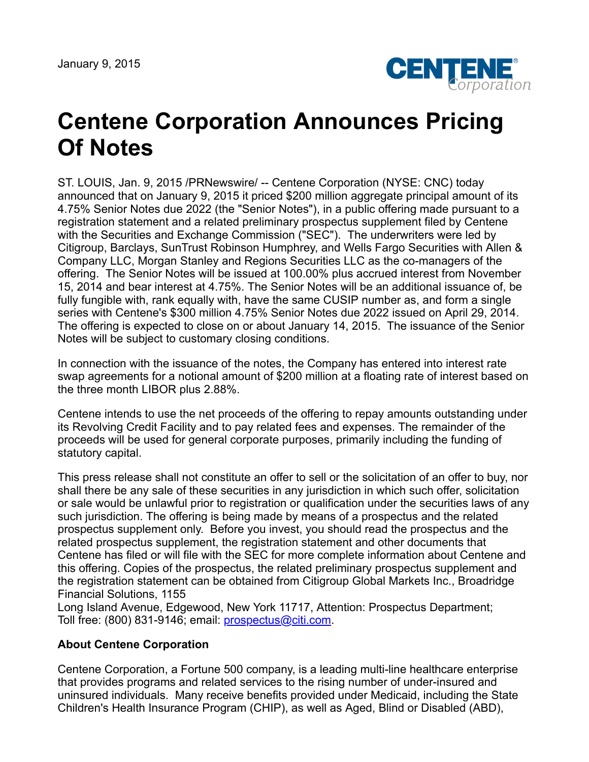January 9, 2015



## **Centene Corporation Announces Pricing Of Notes**

ST. LOUIS, Jan. 9, 2015 /PRNewswire/ -- Centene Corporation (NYSE: CNC) today announced that on January 9, 2015 it priced \$200 million aggregate principal amount of its 4.75% Senior Notes due 2022 (the "Senior Notes"), in a public offering made pursuant to a registration statement and a related preliminary prospectus supplement filed by Centene with the Securities and Exchange Commission ("SEC"). The underwriters were led by Citigroup, Barclays, SunTrust Robinson Humphrey, and Wells Fargo Securities with Allen & Company LLC, Morgan Stanley and Regions Securities LLC as the co-managers of the offering. The Senior Notes will be issued at 100.00% plus accrued interest from November 15, 2014 and bear interest at 4.75%. The Senior Notes will be an additional issuance of, be fully fungible with, rank equally with, have the same CUSIP number as, and form a single series with Centene's \$300 million 4.75% Senior Notes due 2022 issued on April 29, 2014. The offering is expected to close on or about January 14, 2015. The issuance of the Senior Notes will be subject to customary closing conditions.

In connection with the issuance of the notes, the Company has entered into interest rate swap agreements for a notional amount of \$200 million at a floating rate of interest based on the three month LIBOR plus 2.88%.

Centene intends to use the net proceeds of the offering to repay amounts outstanding under its Revolving Credit Facility and to pay related fees and expenses. The remainder of the proceeds will be used for general corporate purposes, primarily including the funding of statutory capital.

This press release shall not constitute an offer to sell or the solicitation of an offer to buy, nor shall there be any sale of these securities in any jurisdiction in which such offer, solicitation or sale would be unlawful prior to registration or qualification under the securities laws of any such jurisdiction. The offering is being made by means of a prospectus and the related prospectus supplement only. Before you invest, you should read the prospectus and the related prospectus supplement, the registration statement and other documents that Centene has filed or will file with the SEC for more complete information about Centene and this offering. Copies of the prospectus, the related preliminary prospectus supplement and the registration statement can be obtained from Citigroup Global Markets Inc., Broadridge Financial Solutions, 1155

Long Island Avenue, Edgewood, New York 11717, Attention: Prospectus Department; Toll free: (800) 831-9146; email: [prospectus@citi.com](mailto:prospectus@citi.com).

## **About Centene Corporation**

Centene Corporation, a Fortune 500 company, is a leading multi-line healthcare enterprise that provides programs and related services to the rising number of under-insured and uninsured individuals. Many receive benefits provided under Medicaid, including the State Children's Health Insurance Program (CHIP), as well as Aged, Blind or Disabled (ABD),